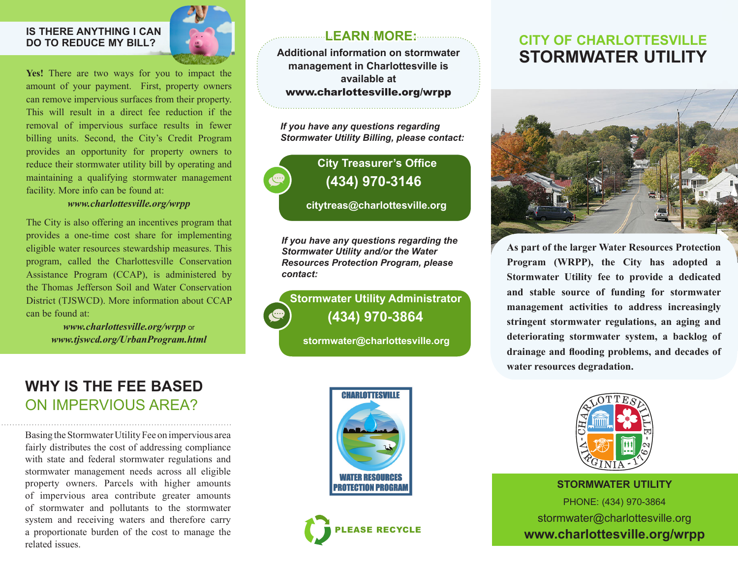#### **IS THERE ANYTHING I CAN DO TO REDUCE MY BILL?**



Yes! There are two ways for you to impact the amount of your payment. First, property owners can remove impervious surfaces from their property. This will result in a direct fee reduction if the removal of impervious surface results in fewer billing units. Second, the City's Credit Program provides an opportunity for property owners to reduce their stormwater utility bill by operating and maintaining a qualifying stormwater management facility. More info can be found at:

#### *www.charlottesville.org/wrpp*

The City is also offering an incentives program that provides a one-time cost share for implementing eligible water resources stewardship measures. This program, called the Charlottesville Conservation Assistance Program (CCAP), is administered by the Thomas Jefferson Soil and Water Conservation District (TJSWCD). More information about CCAP can be found at:

> *www.charlottesville.org/wrpp* or *www.tjswcd.org/UrbanProgram.html*

### **WHY IS THE FEE BASED** ON IMPERVIOUS AREA?

Basing the Stormwater Utility Fee on impervious area fairly distributes the cost of addressing compliance with state and federal stormwater regulations and stormwater management needs across all eligible property owners. Parcels with higher amounts of impervious area contribute greater amounts of stormwater and pollutants to the stormwater system and receiving waters and therefore carry a proportionate burden of the cost to manage the related issues.

#### **LEARN MORE:**

**Additional information on stormwater management in Charlottesville is available at** www.charlottesville.org/wrpp

*If you have any questions regarding Stormwater Utility Billing, please contact:*

## **City Treasurer's Office (434) 970-3146**

**citytreas@charlottesville.org**

*If you have any questions regarding the Stormwater Utility and/or the Water Resources Protection Program, please contact:*

**Stormwater Utility Administrator (434) 970-3864**

**stormwater@charlottesville.org**





### **CITY OF CHARLOTTESVILLE STORMWATER UTILITY**



**As part of the larger Water Resources Protection Program (WRPP), the City has adopted a Stormwater Utility fee to provide a dedicated and stable source of funding for stormwater management activities to address increasingly stringent stormwater regulations, an aging and deteriorating stormwater system, a backlog of drainage and flooding problems, and decades of water resources degradation.**



**STORMWATER UTILITY**  PHONE: (434) 970-3864 stormwater@charlottesville.org **www.charlottesville.org/wrpp**